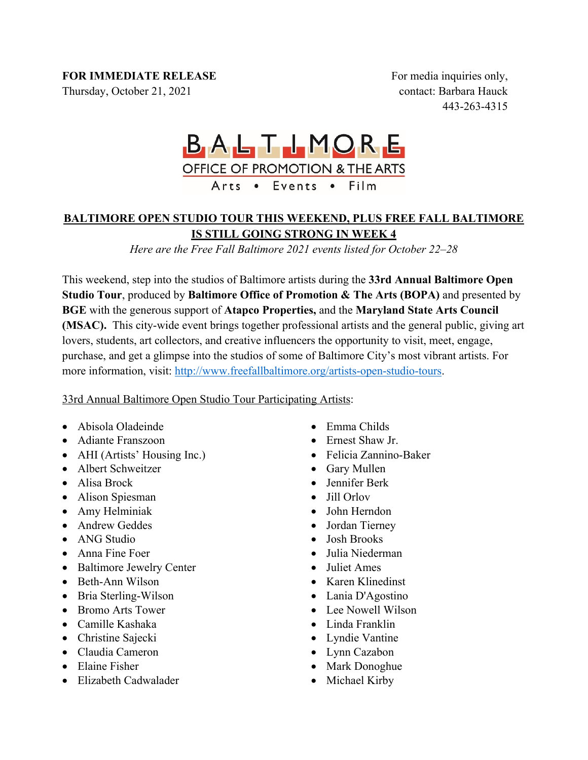# **FOR IMMEDIATE RELEASE**

Thursday, October 21, 2021

For media inquiries only, contact: Barbara Hauck 443-263-4315

# BALTIMORE **OFFICE OF PROMOTION & THE ARTS** Arts • Events • Film

# **BALTIMORE OPEN STUDIO TOUR THIS WEEKEND, PLUS FREE FALL BALTIMORE IS STILL GOING STRONG IN WEEK 4**

*Here are the Free Fall Baltimore 2021 events listed for October 22–28*

This weekend, step into the studios of Baltimore artists during the **33rd Annual Baltimore Open Studio Tour**, produced by **Baltimore Office of Promotion & The Arts (BOPA)** and presented by **BGE** with the generous support of **Atapco Properties,** and the **Maryland State Arts Council (MSAC).** This city-wide event brings together professional artists and the general public, giving art lovers, students, art collectors, and creative influencers the opportunity to visit, meet, engage, purchase, and get a glimpse into the studios of some of Baltimore City's most vibrant artists. For more information, visit: http://www.freefallbaltimore.org/artists-open-studio-tours.

# 33rd Annual Baltimore Open Studio Tour Participating Artists:

- Abisola Oladeinde
- Adiante Franszoon
- AHI (Artists' Housing Inc.)
- Albert Schweitzer
- Alisa Brock
- Alison Spiesman
- Amy Helminiak
- Andrew Geddes
- ANG Studio
- Anna Fine Foer
- Baltimore Jewelry Center
- Beth-Ann Wilson
- Bria Sterling-Wilson
- Bromo Arts Tower
- Camille Kashaka
- Christine Sajecki
- Claudia Cameron
- Elaine Fisher
- Elizabeth Cadwalader
- Emma Childs
- Ernest Shaw Jr.
- Felicia Zannino-Baker
- Gary Mullen
- Jennifer Berk
- Jill Orlov
- John Herndon
- Jordan Tierney
- Josh Brooks
- Julia Niederman
- Juliet Ames
- Karen Klinedinst
- Lania D'Agostino
- Lee Nowell Wilson
- Linda Franklin
- Lyndie Vantine
- Lynn Cazabon
- Mark Donoghue
- Michael Kirby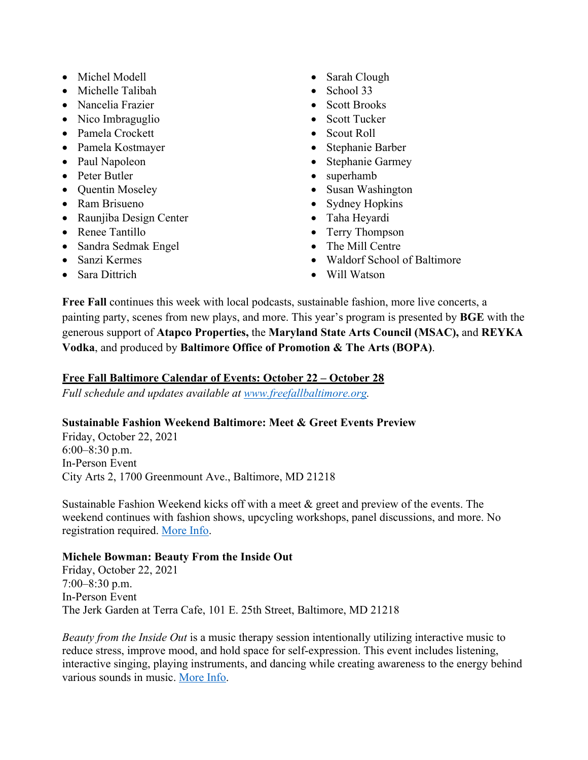- Michel Modell
- Michelle Talibah
- Nancelia Frazier
- Nico Imbraguglio
- Pamela Crockett
- Pamela Kostmayer
- Paul Napoleon
- Peter Butler
- Quentin Moseley
- Ram Brisueno
- Raunjiba Design Center
- Renee Tantillo
- Sandra Sedmak Engel
- Sanzi Kermes
- Sara Dittrich
- Sarah Clough
- School 33
- Scott Brooks
- Scott Tucker
- Scout Roll
- Stephanie Barber
- Stephanie Garmey
- superhamb
- Susan Washington
- Sydney Hopkins
- Taha Heyardi
- Terry Thompson
- The Mill Centre
- Waldorf School of Baltimore
- Will Watson

**Free Fall** continues this week with local podcasts, sustainable fashion, more live concerts, a painting party, scenes from new plays, and more. This year's program is presented by **BGE** with the generous support of **Atapco Properties,** the **Maryland State Arts Council (MSAC),** and **REYKA Vodka**, and produced by **Baltimore Office of Promotion & The Arts (BOPA)**.

# **Free Fall Baltimore Calendar of Events: October 22 – October 28**

*Full schedule and updates available at www.freefallbaltimore.org.*

# **Sustainable Fashion Weekend Baltimore: Meet & Greet Events Preview**

Friday, October 22, 2021 6:00–8:30 p.m. In-Person Event City Arts 2, 1700 Greenmount Ave., Baltimore, MD 21218

Sustainable Fashion Weekend kicks off with a meet & greet and preview of the events. The weekend continues with fashion shows, upcycling workshops, panel discussions, and more. No registration required. More Info.

# **Michele Bowman: Beauty From the Inside Out**

Friday, October 22, 2021 7:00–8:30 p.m. In-Person Event The Jerk Garden at Terra Cafe, 101 E. 25th Street, Baltimore, MD 21218

*Beauty from the Inside Out* is a music therapy session intentionally utilizing interactive music to reduce stress, improve mood, and hold space for self-expression. This event includes listening, interactive singing, playing instruments, and dancing while creating awareness to the energy behind various sounds in music. More Info.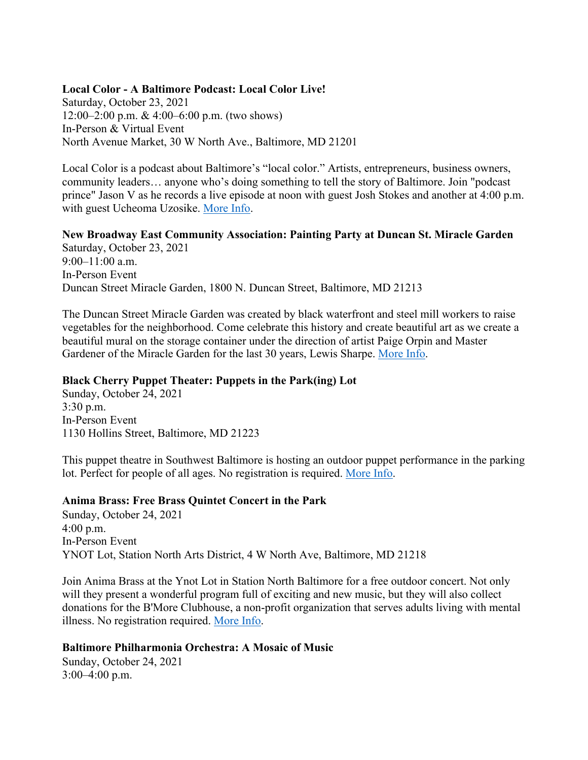#### **Local Color - A Baltimore Podcast: Local Color Live!**

Saturday, October 23, 2021 12:00–2:00 p.m. & 4:00–6:00 p.m. (two shows) In-Person & Virtual Event North Avenue Market, 30 W North Ave., Baltimore, MD 21201

Local Color is a podcast about Baltimore's "local color." Artists, entrepreneurs, business owners, community leaders… anyone who's doing something to tell the story of Baltimore. Join "podcast prince" Jason V as he records a live episode at noon with guest Josh Stokes and another at 4:00 p.m. with guest Ucheoma Uzosike. More Info.

**New Broadway East Community Association: Painting Party at Duncan St. Miracle Garden** Saturday, October 23, 2021  $9:00-11:00$  a.m. In-Person Event Duncan Street Miracle Garden, 1800 N. Duncan Street, Baltimore, MD 21213

The Duncan Street Miracle Garden was created by black waterfront and steel mill workers to raise vegetables for the neighborhood. Come celebrate this history and create beautiful art as we create a beautiful mural on the storage container under the direction of artist Paige Orpin and Master Gardener of the Miracle Garden for the last 30 years, Lewis Sharpe. More Info.

#### **Black Cherry Puppet Theater: Puppets in the Park(ing) Lot**

Sunday, October 24, 2021 3:30 p.m. In-Person Event 1130 Hollins Street, Baltimore, MD 21223

This puppet theatre in Southwest Baltimore is hosting an outdoor puppet performance in the parking lot. Perfect for people of all ages. No registration is required. More Info.

#### **Anima Brass: Free Brass Quintet Concert in the Park**

Sunday, October 24, 2021 4:00 p.m. In-Person Event YNOT Lot, Station North Arts District, 4 W North Ave, Baltimore, MD 21218

Join Anima Brass at the Ynot Lot in Station North Baltimore for a free outdoor concert. Not only will they present a wonderful program full of exciting and new music, but they will also collect donations for the B'More Clubhouse, a non-profit organization that serves adults living with mental illness. No registration required. More Info.

#### **Baltimore Philharmonia Orchestra: A Mosaic of Music**

Sunday, October 24, 2021 3:00–4:00 p.m.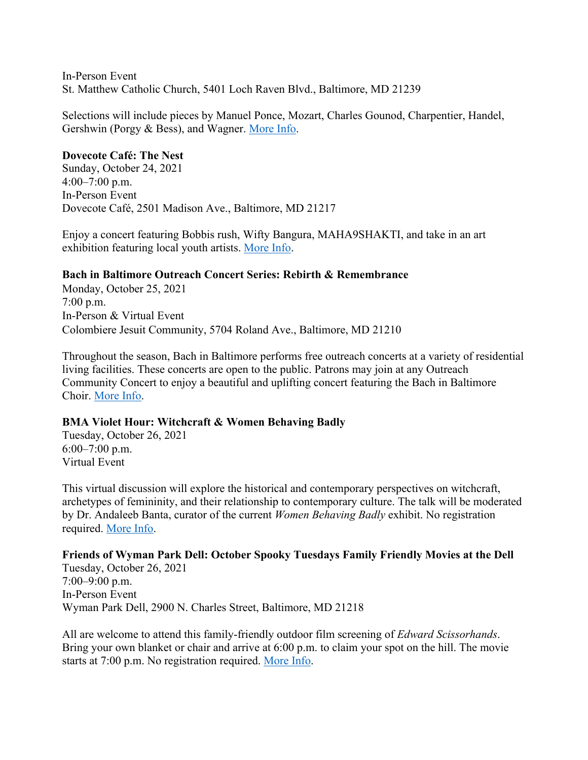In-Person Event St. Matthew Catholic Church, 5401 Loch Raven Blvd., Baltimore, MD 21239

Selections will include pieces by Manuel Ponce, Mozart, Charles Gounod, Charpentier, Handel, Gershwin (Porgy & Bess), and Wagner. More Info.

#### **Dovecote Café: The Nest**

Sunday, October 24, 2021  $4:00-7:00$  p.m. In-Person Event Dovecote Café, 2501 Madison Ave., Baltimore, MD 21217

Enjoy a concert featuring Bobbis rush, Wifty Bangura, MAHA9SHAKTI, and take in an art exhibition featuring local youth artists. More Info.

# **Bach in Baltimore Outreach Concert Series: Rebirth & Remembrance**

Monday, October 25, 2021 7:00 p.m. In-Person & Virtual Event Colombiere Jesuit Community, 5704 Roland Ave., Baltimore, MD 21210

Throughout the season, Bach in Baltimore performs free outreach concerts at a variety of residential living facilities. These concerts are open to the public. Patrons may join at any Outreach Community Concert to enjoy a beautiful and uplifting concert featuring the Bach in Baltimore Choir. More Info.

#### **BMA Violet Hour: Witchcraft & Women Behaving Badly**

Tuesday, October 26, 2021 6:00–7:00 p.m. Virtual Event

This virtual discussion will explore the historical and contemporary perspectives on witchcraft, archetypes of femininity, and their relationship to contemporary culture. The talk will be moderated by Dr. Andaleeb Banta, curator of the current *Women Behaving Badly* exhibit. No registration required. More Info.

**Friends of Wyman Park Dell: October Spooky Tuesdays Family Friendly Movies at the Dell** Tuesday, October 26, 2021 7:00–9:00 p.m. In-Person Event Wyman Park Dell, 2900 N. Charles Street, Baltimore, MD 21218

All are welcome to attend this family-friendly outdoor film screening of *Edward Scissorhands*. Bring your own blanket or chair and arrive at 6:00 p.m. to claim your spot on the hill. The movie starts at 7:00 p.m. No registration required. More Info.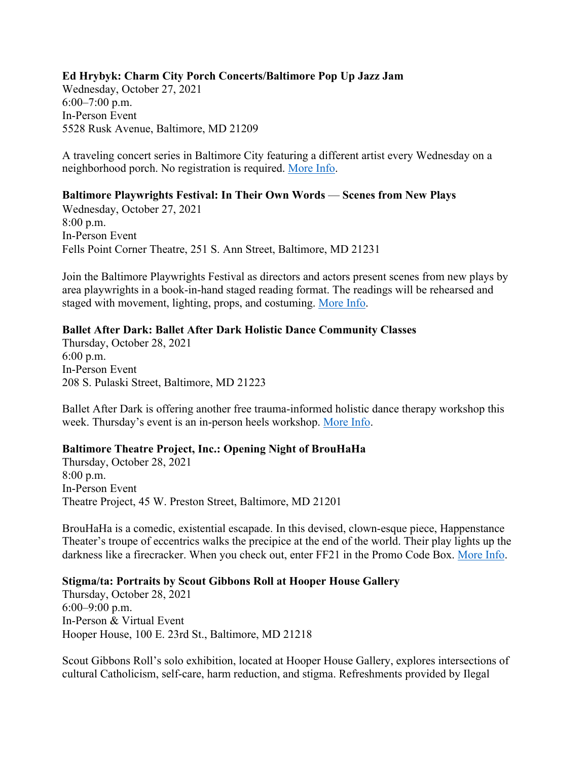# **Ed Hrybyk: Charm City Porch Concerts/Baltimore Pop Up Jazz Jam**

Wednesday, October 27, 2021 6:00–7:00 p.m. In-Person Event 5528 Rusk Avenue, Baltimore, MD 21209

A traveling concert series in Baltimore City featuring a different artist every Wednesday on a neighborhood porch. No registration is required. More Info.

#### **Baltimore Playwrights Festival: In Their Own Words** — **Scenes from New Plays**

Wednesday, October 27, 2021 8:00 p.m. In-Person Event Fells Point Corner Theatre, 251 S. Ann Street, Baltimore, MD 21231

Join the Baltimore Playwrights Festival as directors and actors present scenes from new plays by area playwrights in a book-in-hand staged reading format. The readings will be rehearsed and staged with movement, lighting, props, and costuming. More Info.

#### **Ballet After Dark: Ballet After Dark Holistic Dance Community Classes**

Thursday, October 28, 2021 6:00 p.m. In-Person Event 208 S. Pulaski Street, Baltimore, MD 21223

Ballet After Dark is offering another free trauma-informed holistic dance therapy workshop this week. Thursday's event is an in-person heels workshop. More Info.

#### **Baltimore Theatre Project, Inc.: Opening Night of BrouHaHa**

Thursday, October 28, 2021 8:00 p.m. In-Person Event Theatre Project, 45 W. Preston Street, Baltimore, MD 21201

BrouHaHa is a comedic, existential escapade. In this devised, clown-esque piece, Happenstance Theater's troupe of eccentrics walks the precipice at the end of the world. Their play lights up the darkness like a firecracker. When you check out, enter FF21 in the Promo Code Box. More Info.

#### **Stigma/ta: Portraits by Scout Gibbons Roll at Hooper House Gallery**

Thursday, October 28, 2021 6:00–9:00 p.m. In-Person & Virtual Event Hooper House, 100 E. 23rd St., Baltimore, MD 21218

Scout Gibbons Roll's solo exhibition, located at Hooper House Gallery, explores intersections of cultural Catholicism, self-care, harm reduction, and stigma. Refreshments provided by Ilegal